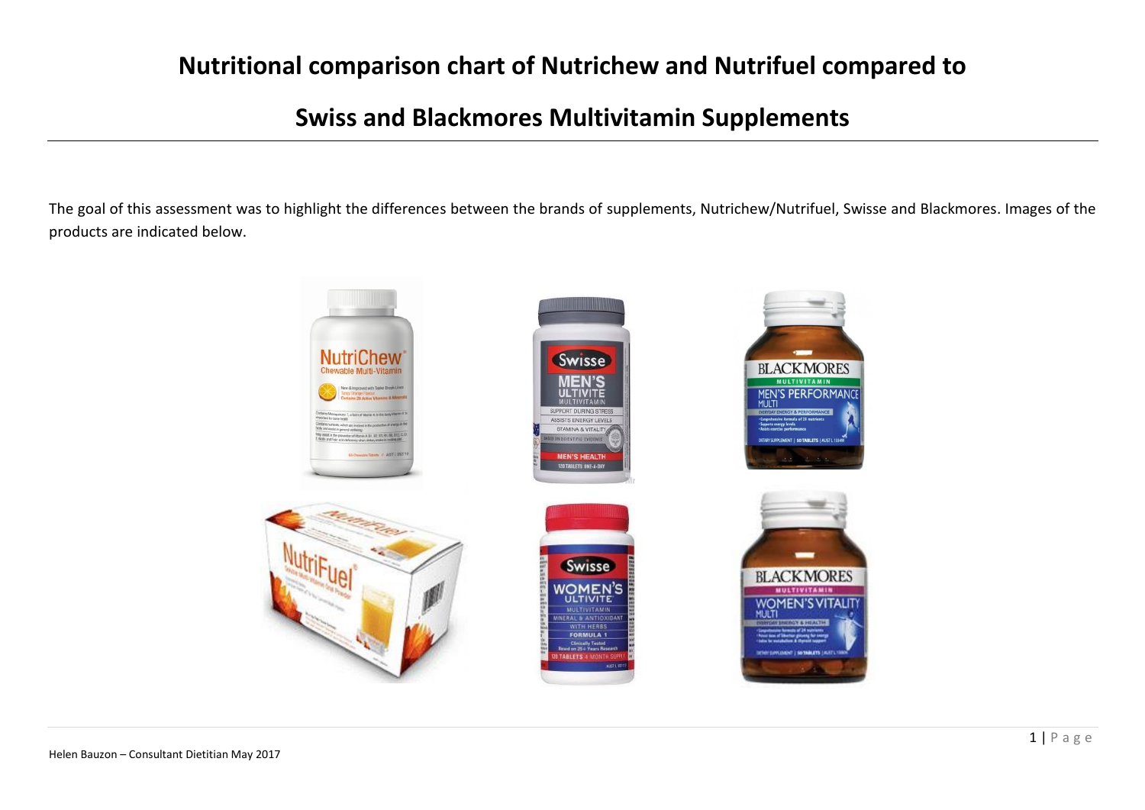#### **Nutritional comparison chart of Nutrichew and Nutrifuel compared to**

#### **Swiss and Blackmores Multivitamin Supplements**

The goal of this assessment was to highlight the differences between the brands of supplements, Nutrichew/Nutrifuel, Swisse and Blackmores. Images of the products are indicated below.

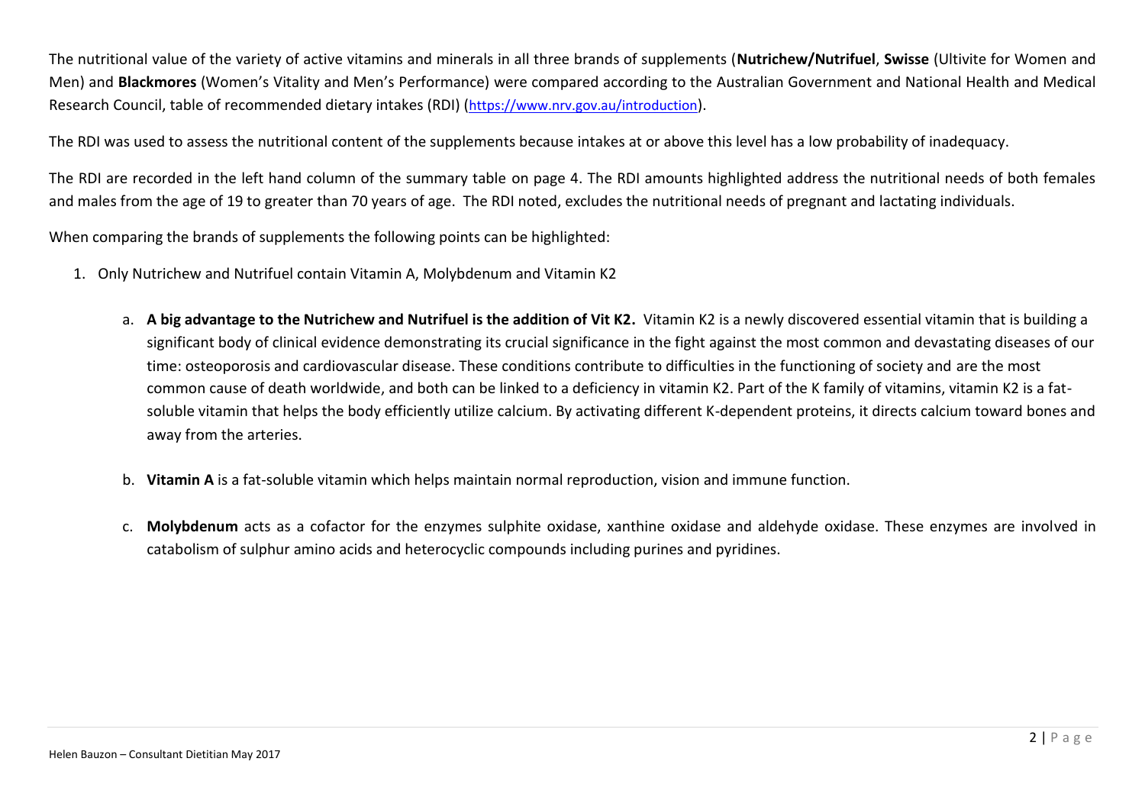The nutritional value of the variety of active vitamins and minerals in all three brands of supplements (**Nutrichew/Nutrifuel**, **Swisse** (Ultivite for Women and Men) and **Blackmores** (Women's Vitality and Men's Performance) were compared according to the Australian Government and National Health and Medical Research Council, table of recommended dietary intakes (RDI) (<https://www.nrv.gov.au/introduction>).

The RDI was used to assess the nutritional content of the supplements because intakes at or above this level has a low probability of inadequacy.

The RDI are recorded in the left hand column of the summary table on page 4. The RDI amounts highlighted address the nutritional needs of both females and males from the age of 19 to greater than 70 years of age. The RDI noted, excludes the nutritional needs of pregnant and lactating individuals.

When comparing the brands of supplements the following points can be highlighted:

- 1. Only Nutrichew and Nutrifuel contain Vitamin A, Molybdenum and Vitamin K2
	- a. **A big advantage to the Nutrichew and Nutrifuel is the addition of Vit K2.** Vitamin K2 is a newly discovered essential vitamin that is building a significant body of clinical evidence demonstrating its crucial significance in the fight against the most common and devastating diseases of our time: osteoporosis and cardiovascular disease. These conditions contribute to difficulties in the functioning of society and are the most common cause of death worldwide, and both can be linked to a deficiency in vitamin K2. Part of the K family of vitamins, vitamin K2 is a fatsoluble vitamin that helps the body efficiently utilize calcium. By activating different K-dependent proteins, it directs calcium toward bones and away from the arteries.
	- b. **Vitamin A** is a fat-soluble vitamin which helps maintain normal reproduction, vision and immune function.
	- c. **Molybdenum** acts as a cofactor for the enzymes sulphite oxidase, xanthine oxidase and aldehyde oxidase. These enzymes are involved in catabolism of sulphur amino acids and heterocyclic compounds including purines and pyridines.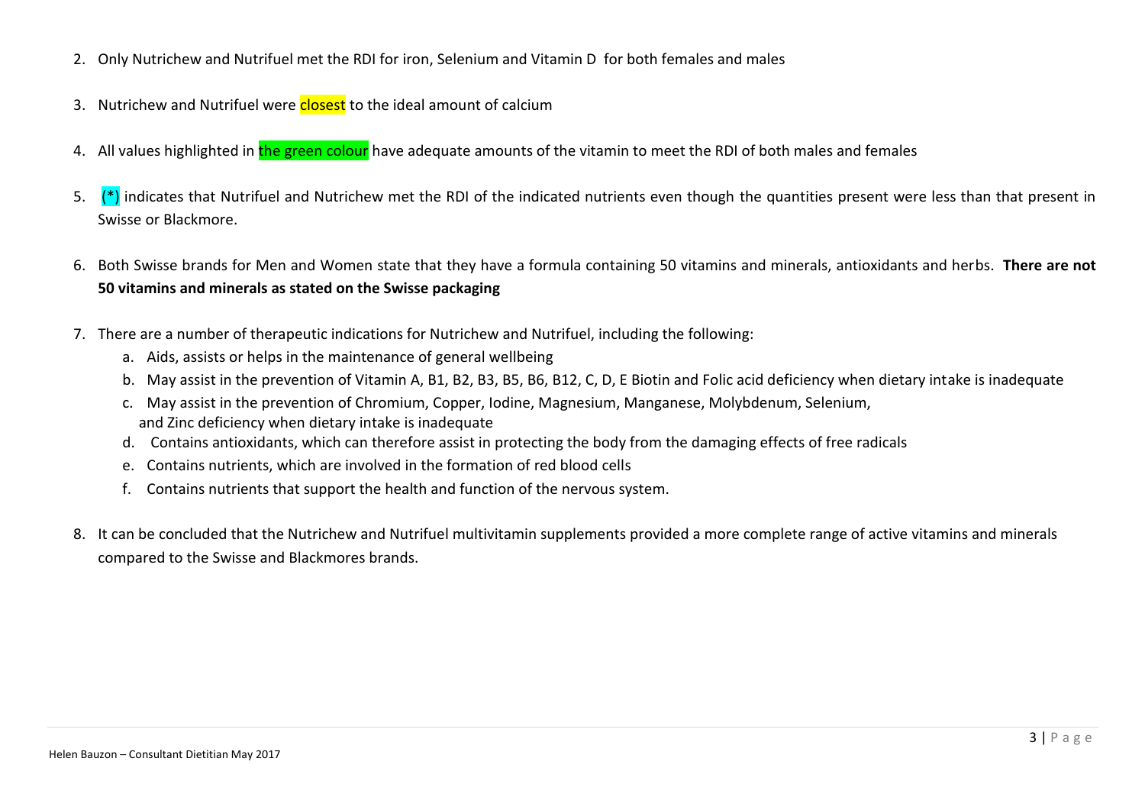- 2. Only Nutrichew and Nutrifuel met the RDI for iron, Selenium and Vitamin D for both females and males
- 3. Nutrichew and Nutrifuel were closest to the ideal amount of calcium
- 4. All values highlighted in the green colour have adequate amounts of the vitamin to meet the RDI of both males and females
- 5.  $(*)$  indicates that Nutrifuel and Nutrichew met the RDI of the indicated nutrients even though the quantities present were less than that present in Swisse or Blackmore.
- 6. Both Swisse brands for Men and Women state that they have a formula containing 50 vitamins and minerals, antioxidants and herbs. **There are not 50 vitamins and minerals as stated on the Swisse packaging**
- 7. There are a number of therapeutic indications for Nutrichew and Nutrifuel, including the following:
	- a. Aids, assists or helps in the maintenance of general wellbeing
	- b. May assist in the prevention of Vitamin A, B1, B2, B3, B5, B6, B12, C, D, E Biotin and Folic acid deficiency when dietary intake is inadequate
	- c. May assist in the prevention of Chromium, Copper, Iodine, Magnesium, Manganese, Molybdenum, Selenium, and Zinc deficiency when dietary intake is inadequate
	- d. Contains antioxidants, which can therefore assist in protecting the body from the damaging effects of free radicals
	- e. Contains nutrients, which are involved in the formation of red blood cells
	- f. Contains nutrients that support the health and function of the nervous system.
- 8. It can be concluded that the Nutrichew and Nutrifuel multivitamin supplements provided a more complete range of active vitamins and minerals compared to the Swisse and Blackmores brands.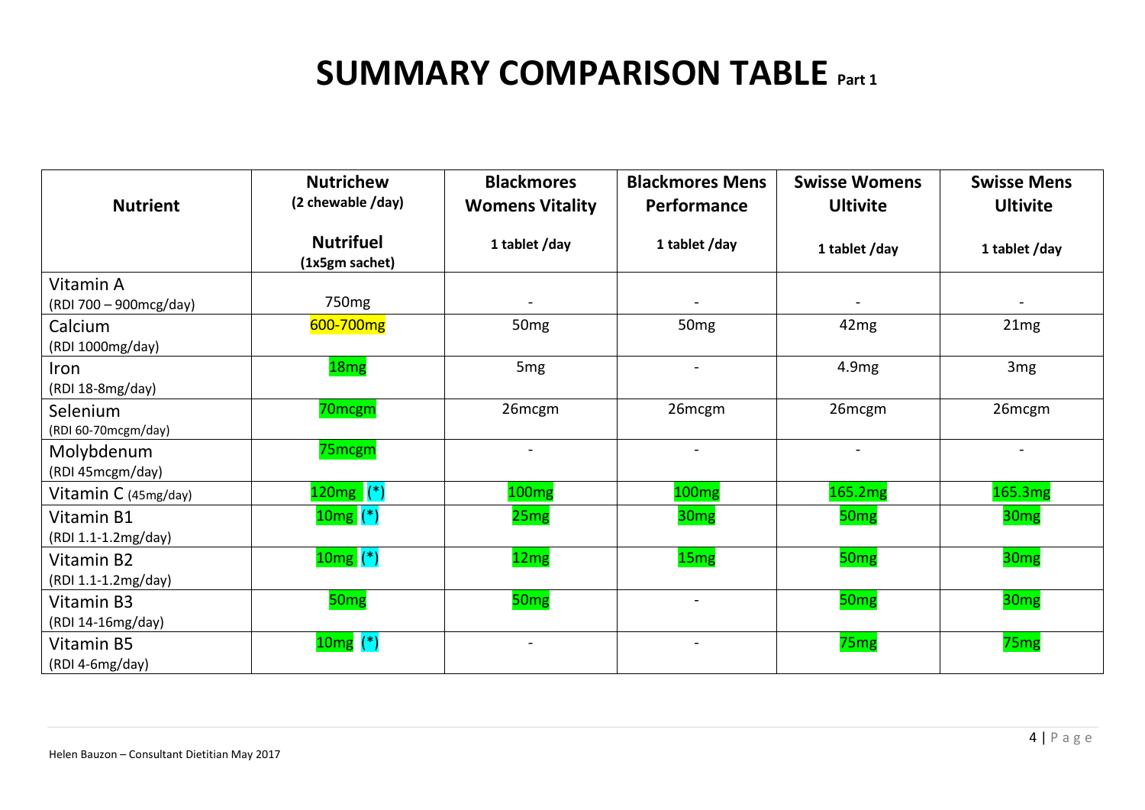## **SUMMARY COMPARISON TABLE** Part 1

| <b>Nutrient</b>                     | <b>Nutrichew</b><br>(2 chewable /day) | <b>Blackmores</b><br><b>Womens Vitality</b> | <b>Blackmores Mens</b><br>Performance | <b>Swisse Womens</b><br><b>Ultivite</b> | <b>Swisse Mens</b><br><b>Ultivite</b> |
|-------------------------------------|---------------------------------------|---------------------------------------------|---------------------------------------|-----------------------------------------|---------------------------------------|
|                                     |                                       |                                             |                                       |                                         |                                       |
|                                     | <b>Nutrifuel</b><br>(1x5gm sachet)    | 1 tablet /day                               | 1 tablet /day                         | 1 tablet /day                           | 1 tablet/day                          |
| Vitamin A<br>(RDI 700 - 900mcg/day) | 750 <sub>mg</sub>                     |                                             |                                       |                                         |                                       |
| Calcium<br>(RDI 1000mg/day)         | 600-700mg                             | 50 <sub>mg</sub>                            | 50 <sub>mg</sub>                      | 42 <sub>mg</sub>                        | 21mg                                  |
| Iron<br>(RDI 18-8mg/day)            | 18 <sub>mg</sub>                      | 5 <sub>mg</sub>                             | $\blacksquare$                        | 4.9mg                                   | 3 <sub>mg</sub>                       |
| Selenium<br>(RDI 60-70mcgm/day)     | 70mcgm                                | 26mcgm                                      | 26mcgm                                | 26mcgm                                  | 26mcgm                                |
| Molybdenum<br>(RDI 45mcgm/day)      | 75mcgm                                |                                             | $\sim$                                |                                         |                                       |
| Vitamin $C$ (45mg/day)              | $120mg$ (*)                           | 100mg                                       | 100 <sub>mg</sub>                     | 165.2mg                                 | 165.3mg                               |
| Vitamin B1<br>(RDI 1.1-1.2mg/day)   | $10mg$ (*)                            | 25mg                                        | 30 <sub>mg</sub>                      | 50 <sub>mg</sub>                        | 30 <sub>mg</sub>                      |
| Vitamin B2<br>(RDI 1.1-1.2mg/day)   | $10mg$ (*)                            | 12 <sub>mg</sub>                            | 15 <sub>mg</sub>                      | 50 <sub>mg</sub>                        | 30 <sub>mg</sub>                      |
| Vitamin B3<br>(RDI 14-16mg/day)     | 50 <sub>mg</sub>                      | 50 <sub>mg</sub>                            | $\overline{\phantom{a}}$              | 50 <sub>mg</sub>                        | 30 <sub>mg</sub>                      |
| Vitamin B5<br>(RDI 4-6mg/day)       | $10mg$ (*)                            |                                             |                                       | 75 <sub>mg</sub>                        | 75 <sub>mg</sub>                      |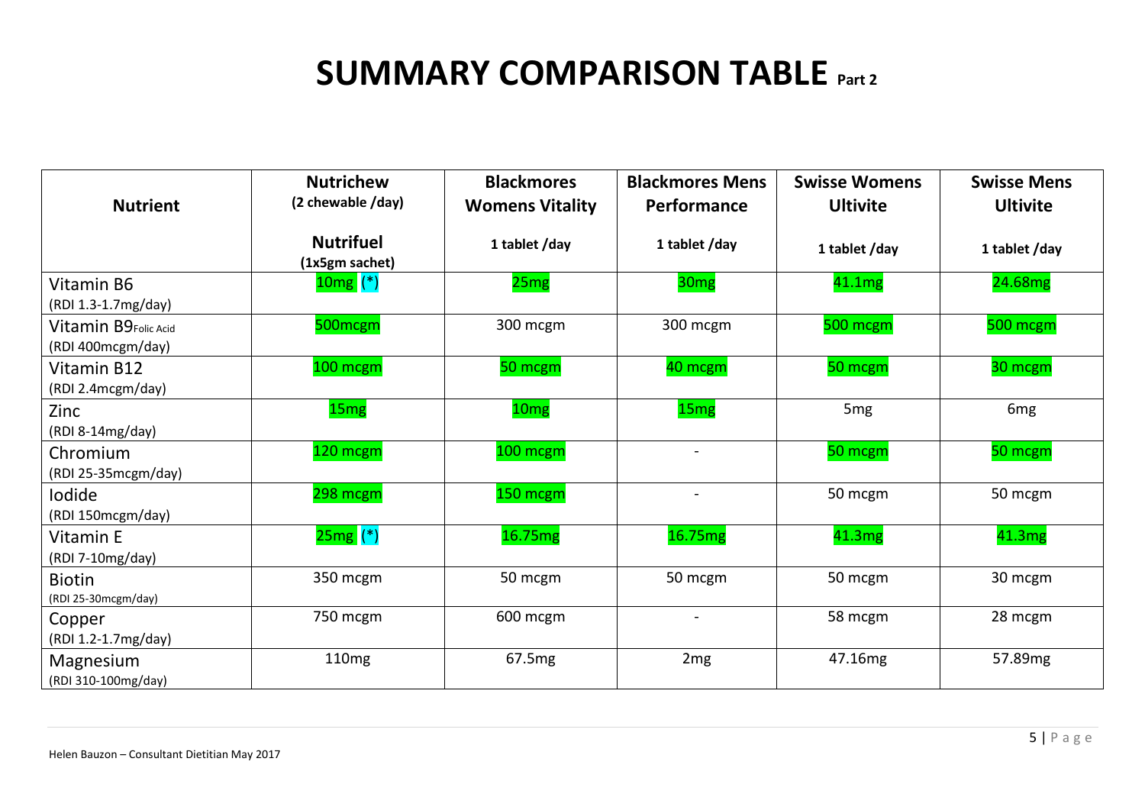## **SUMMARY COMPARISON TABLE** Part 2

|                                           | <b>Nutrichew</b>                   | <b>Blackmores</b>      | <b>Blackmores Mens</b>       | <b>Swisse Womens</b> | <b>Swisse Mens</b> |
|-------------------------------------------|------------------------------------|------------------------|------------------------------|----------------------|--------------------|
| <b>Nutrient</b>                           | (2 chewable /day)                  | <b>Womens Vitality</b> | Performance                  | <b>Ultivite</b>      | <b>Ultivite</b>    |
|                                           | <b>Nutrifuel</b><br>(1x5gm sachet) | 1 tablet /day          | 1 tablet /day                | 1 tablet /day        | 1 tablet/day       |
| Vitamin B6<br>(RDI 1.3-1.7mg/day)         | $10mg$ (*)                         | 25mg                   | 30 <sub>mg</sub>             | 41.1mg               | 24.68mg            |
| Vitamin B9Folic Acid<br>(RDI 400mcgm/day) | 500mcgm                            | 300 mcgm               | 300 mcgm                     | 500 mcgm             | 500 mcgm           |
| Vitamin B12<br>(RDI 2.4mcgm/day)          | 100 mcgm                           | 50 mcgm                | 40 mcgm                      | 50 mcgm              | 30 mcgm            |
| Zinc<br>(RDI 8-14mg/day)                  | 15 <sub>mg</sub>                   | 10 <sub>mg</sub>       | 15 <sub>mg</sub>             | 5 <sub>mg</sub>      | 6 <sub>mg</sub>    |
| Chromium<br>(RDI 25-35mcgm/day)           | 120 mcgm                           | 100 mcgm               | $\overline{\phantom{a}}$     | 50 mcgm              | 50 mcgm            |
| lodide<br>(RDI 150mcgm/day)               | 298 mcgm                           | 150 mcgm               | $\blacksquare$               | 50 mcgm              | 50 mcgm            |
| Vitamin E<br>(RDI 7-10mg/day)             | $25mg$ (*)                         | 16.75mg                | 16.75mg                      | 41.3mg               | 41.3mg             |
| <b>Biotin</b><br>(RDI 25-30mcgm/day)      | 350 mcgm                           | 50 mcgm                | 50 mcgm                      | 50 mcgm              | 30 mcgm            |
| Copper<br>(RDI 1.2-1.7mg/day)             | 750 mcgm                           | 600 mcgm               | $\qquad \qquad \blacksquare$ | 58 mcgm              | 28 mcgm            |
| Magnesium<br>(RDI 310-100mg/day)          | 110 <sub>mg</sub>                  | 67.5mg                 | 2 <sub>mg</sub>              | 47.16mg              | 57.89mg            |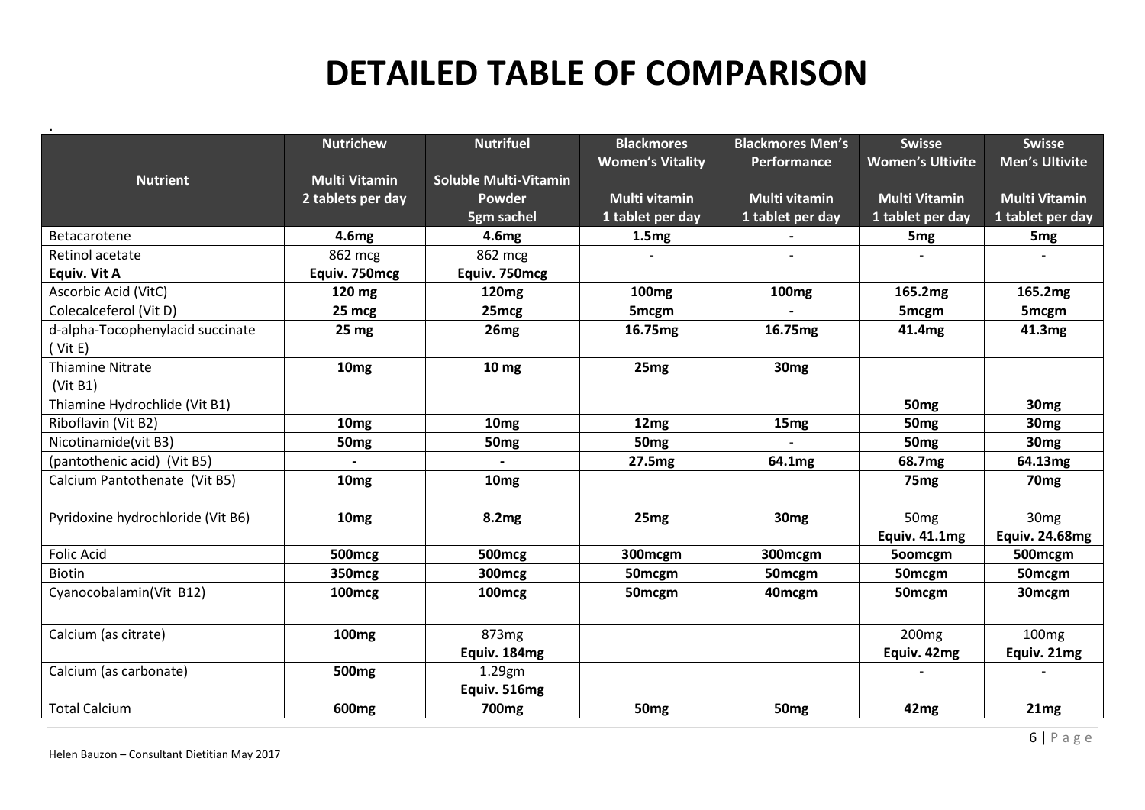# **DETAILED TABLE OF COMPARISON**

|                                   | <b>Nutrichew</b>     | <b>Nutrifuel</b>             | <b>Blackmores</b>       | <b>Blackmores Men's</b> | <b>Swisse</b>           | <b>Swisse</b>         |
|-----------------------------------|----------------------|------------------------------|-------------------------|-------------------------|-------------------------|-----------------------|
|                                   |                      |                              | <b>Women's Vitality</b> | Performance             | <b>Women's Ultivite</b> | <b>Men's Ultivite</b> |
| <b>Nutrient</b>                   | <b>Multi Vitamin</b> | <b>Soluble Multi-Vitamin</b> |                         |                         |                         |                       |
|                                   | 2 tablets per day    | <b>Powder</b>                | <b>Multi vitamin</b>    | <b>Multi vitamin</b>    | <b>Multi Vitamin</b>    | <b>Multi Vitamin</b>  |
|                                   |                      | 5gm sachel                   | 1 tablet per day        | 1 tablet per day        | 1 tablet per day        | 1 tablet per day      |
| Betacarotene                      | 4.6 <sub>mg</sub>    | 4.6mg                        | 1.5mg                   |                         | 5 <sub>mg</sub>         | 5 <sub>mg</sub>       |
| Retinol acetate                   | 862 mcg              | 862 mcg                      |                         |                         |                         |                       |
| <b>Equiv. Vit A</b>               | Equiv. 750mcg        | Equiv. 750mcg                |                         |                         |                         |                       |
| Ascorbic Acid (VitC)              | 120 mg               | 120 <sub>mg</sub>            | 100 <sub>mg</sub>       | 100 <sub>mg</sub>       | 165.2mg                 | 165.2mg               |
| Colecalceferol (Vit D)            | 25 mcg               | 25mcg                        | 5mcgm                   |                         | 5mcgm                   | 5mcgm                 |
| d-alpha-Tocophenylacid succinate  | 25 <sub>mg</sub>     | 26 <sub>mg</sub>             | 16.75mg                 | 16.75mg                 | 41.4mg                  | 41.3mg                |
| (Vit E)                           |                      |                              |                         |                         |                         |                       |
| <b>Thiamine Nitrate</b>           | 10 <sub>mg</sub>     | 10 mg                        | 25 <sub>mg</sub>        | 30 <sub>mg</sub>        |                         |                       |
| (Vit B1)                          |                      |                              |                         |                         |                         |                       |
| Thiamine Hydrochlide (Vit B1)     |                      |                              |                         |                         | 50 <sub>mg</sub>        | 30 <sub>mg</sub>      |
| Riboflavin (Vit B2)               | 10 <sub>mg</sub>     | 10 <sub>mg</sub>             | 12 <sub>mg</sub>        | 15 <sub>mg</sub>        | 50 <sub>mg</sub>        | 30 <sub>mg</sub>      |
| Nicotinamide(vit B3)              | 50 <sub>mg</sub>     | 50 <sub>mg</sub>             | 50 <sub>mg</sub>        |                         | 50 <sub>mg</sub>        | 30 <sub>mg</sub>      |
| (pantothenic acid) (Vit B5)       |                      |                              | 27.5mg                  | 64.1mg                  | 68.7mg                  | 64.13mg               |
| Calcium Pantothenate (Vit B5)     | 10 <sub>mg</sub>     | 10 <sub>mg</sub>             |                         |                         | 75 <sub>mg</sub>        | 70 <sub>mg</sub>      |
|                                   |                      |                              |                         |                         |                         |                       |
| Pyridoxine hydrochloride (Vit B6) | 10 <sub>mg</sub>     | 8.2mg                        | 25 <sub>mg</sub>        | 30 <sub>mg</sub>        | 50 <sub>mg</sub>        | 30 <sub>mg</sub>      |
|                                   |                      |                              |                         |                         | Equiv. 41.1mg           | <b>Equiv. 24.68mg</b> |
| <b>Folic Acid</b>                 | 500mcg               | <b>500mcg</b>                | 300mcgm                 | 300mcgm                 | 500mcgm                 | 500mcgm               |
| <b>Biotin</b>                     | 350mcg               | <b>300mcg</b>                | 50mcgm                  | 50 <sub>mcgm</sub>      | 50 <sub>mcgm</sub>      | 50 <sub>mcgm</sub>    |
| Cyanocobalamin(Vit B12)           | 100 <sub>mcg</sub>   | 100 <sub>mcg</sub>           | 50 <sub>mcgm</sub>      | 40mcgm                  | 50mcgm                  | 30 <sub>mcgm</sub>    |
|                                   |                      |                              |                         |                         |                         |                       |
| Calcium (as citrate)              | 100 <sub>mg</sub>    | 873 <sub>mg</sub>            |                         |                         | 200 <sub>mg</sub>       | 100 <sub>mg</sub>     |
|                                   |                      | Equiv. 184mg                 |                         |                         | Equiv. 42mg             | Equiv. 21mg           |
| Calcium (as carbonate)            | 500 <sub>mg</sub>    | 1.29gm                       |                         |                         |                         |                       |
|                                   |                      | Equiv. 516mg                 |                         |                         |                         |                       |
| <b>Total Calcium</b>              | 600 <sub>mg</sub>    | 700 <sub>mg</sub>            | 50 <sub>mg</sub>        | 50 <sub>mg</sub>        | 42mg                    | 21mg                  |

.